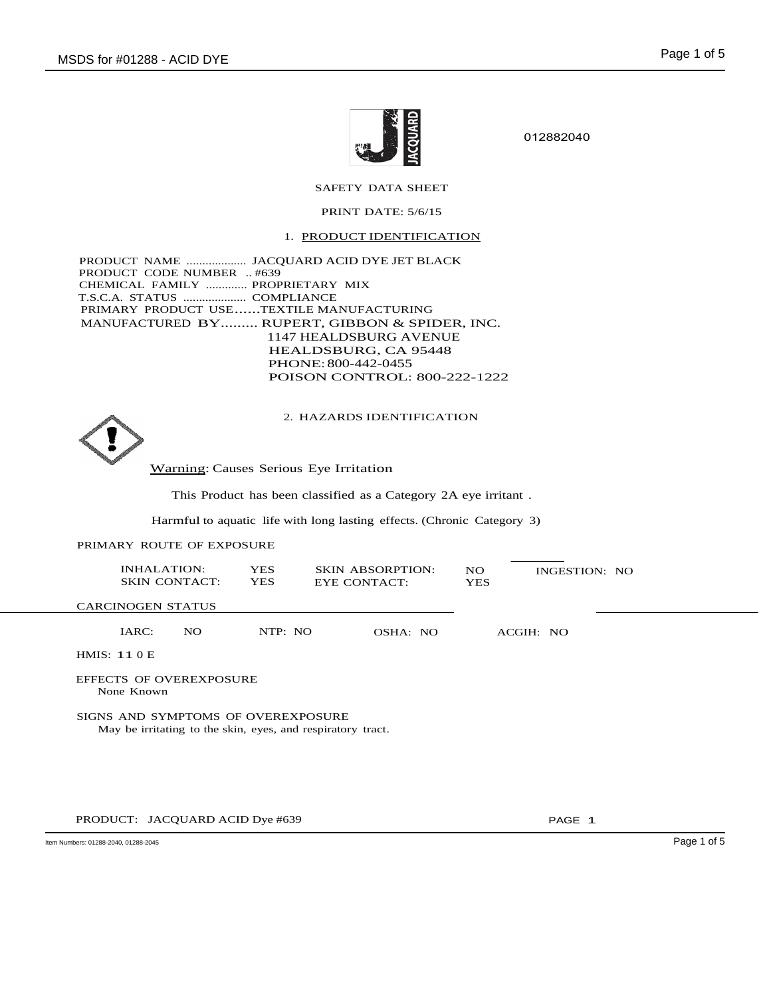

012882040

# SAFETY DATA SHEET

## PRINT DATE: 5/6/15

1. PRODUCT IDENTIFICATION

PRODUCT NAME ................... JACQUARD ACID DYE JET BLACK PRODUCT CODE NUMBER .. #639 CHEMICAL FAMILY ............. PROPRIETARY MIX T.S.C.A. STATUS .................... COMPLIANCE PRIMARY PRODUCT USE......TEXTILE MANUFACTURING MANUFACTURED BY......... RUPERT, GIBBON & SPIDER, INC. 1147 HEALDSBURG AVENUE HEALDSBURG, CA 95448 PHONE:800-442-0455 POISON CONTROL: 800-222-1222

2. HAZARDS IDENTIFICATION



Warning: Causes Serious Eye Irritation

This Product has been classified as a Category 2A eye irritant .

Harmful to aquatic life with long lasting effects. (Chronic Category 3)

## PRIMARY ROUTE OF EXPOSURE

|                                                                                                   | <b>INHALATION:</b><br><b>SKIN CONTACT:</b> | <b>YES</b><br><b>YES</b> | <b>SKIN ABSORPTION:</b><br>EYE CONTACT: | NO.<br><b>YES</b> | INGESTION: NO |  |  |  |  |
|---------------------------------------------------------------------------------------------------|--------------------------------------------|--------------------------|-----------------------------------------|-------------------|---------------|--|--|--|--|
|                                                                                                   | <b>CARCINOGEN STATUS</b>                   |                          |                                         |                   |               |  |  |  |  |
|                                                                                                   | IARC:<br>NO.                               | NTP: NO                  | OSHA: NO                                |                   | ACGIH: NO     |  |  |  |  |
|                                                                                                   | HMIS: $110E$                               |                          |                                         |                   |               |  |  |  |  |
| <b>EFFECTS OF OVEREXPOSURE</b><br>None Known                                                      |                                            |                          |                                         |                   |               |  |  |  |  |
| SIGNS AND SYMPTOMS OF OVEREXPOSURE<br>May be irritating to the skin, eyes, and respiratory tract. |                                            |                          |                                         |                   |               |  |  |  |  |
|                                                                                                   |                                            |                          |                                         |                   |               |  |  |  |  |
|                                                                                                   |                                            |                          |                                         |                   |               |  |  |  |  |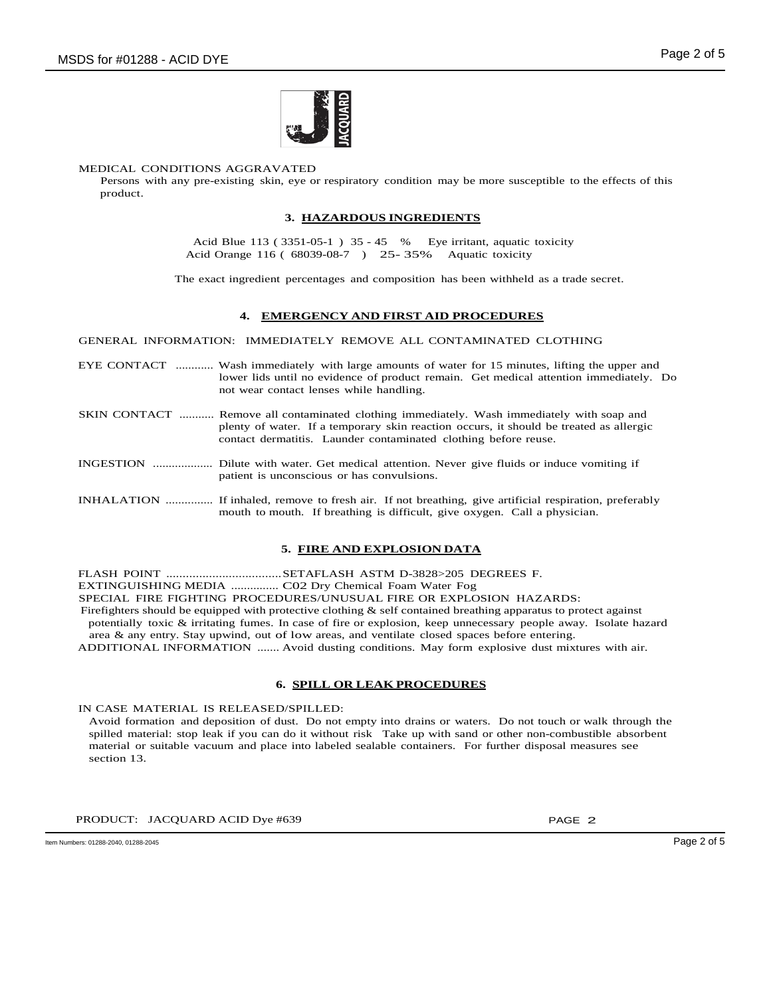

#### MEDICAL CONDITIONS AGGRAVATED

Persons with any pre-existing skin, eye or respiratory condition may be more susceptible to the effects of this product.

## **3. HAZARDOUS INGREDIENTS**

Acid Blue 113 ( 3351-05-1 ) 35 - 45 % Eye irritant, aquatic toxicity Acid Orange 116 ( 68039-08-7 ) 25- 35% Aquatic toxicity

The exact ingredient percentages and composition has been withheld as a trade secret.

### **4. EMERGENCY AND FIRST AID PROCEDURES**

GENERAL INFORMATION: IMMEDIATELY REMOVE ALL CONTAMINATED CLOTHING

EYE CONTACT ............ Wash immediately with large amounts of water for 15 minutes, lifting the upper and lower lids until no evidence of product remain. Get medical attention immediately. Do not wear contact lenses while handling.

- SKIN CONTACT ........... Remove all contaminated clothing immediately. Wash immediately with soap and plenty of water. If a temporary skin reaction occurs, it should be treated as allergic contact dermatitis. Launder contaminated clothing before reuse.
- INGESTION ................... Dilute with water. Get medical attention. Never give fluids or induce vomiting if patient is unconscious or has convulsions.

INHALATION ............... If inhaled, remove to fresh air. If not breathing, give artificial respiration, preferably mouth to mouth. If breathing is difficult, give oxygen. Call a physician.

## **5. FIRE AND EXPLOSION DATA**

FLASH POINT ...................................SETAFLASH ASTM D-3828>205 DEGREES F. EXTINGUISHING MEDIA ............... C02 Dry Chemical Foam Water Fog SPECIAL FIRE FIGHTING PROCEDURES/UNUSUAL FIRE OR EXPLOSION HAZARDS: Firefighters should be equipped with protective clothing  $\&$  self contained breathing apparatus to protect against potentially toxic & irritating fumes. In case of fire or explosion, keep unnecessary people away. Isolate hazard area & any entry. Stay upwind, out of low areas, and ventilate closed spaces before entering. ADDITIONAL INFORMATION ....... Avoid dusting conditions. May form explosive dust mixtures with air.

## **6. SPILL OR LEAK PROCEDURES**

IN CASE MATERIAL IS RELEASED/SPILLED:

Avoid formation and deposition of dust. Do not empty into drains or waters. Do not touch or walk through the spilled material: stop leak if you can do it without risk Take up with sand or other non-combustible absorbent material or suitable vacuum and place into labeled sealable containers. For further disposal measures see section 13.

PRODUCT: JACQUARD ACID Dye #639 PRODUCT: PAGE 2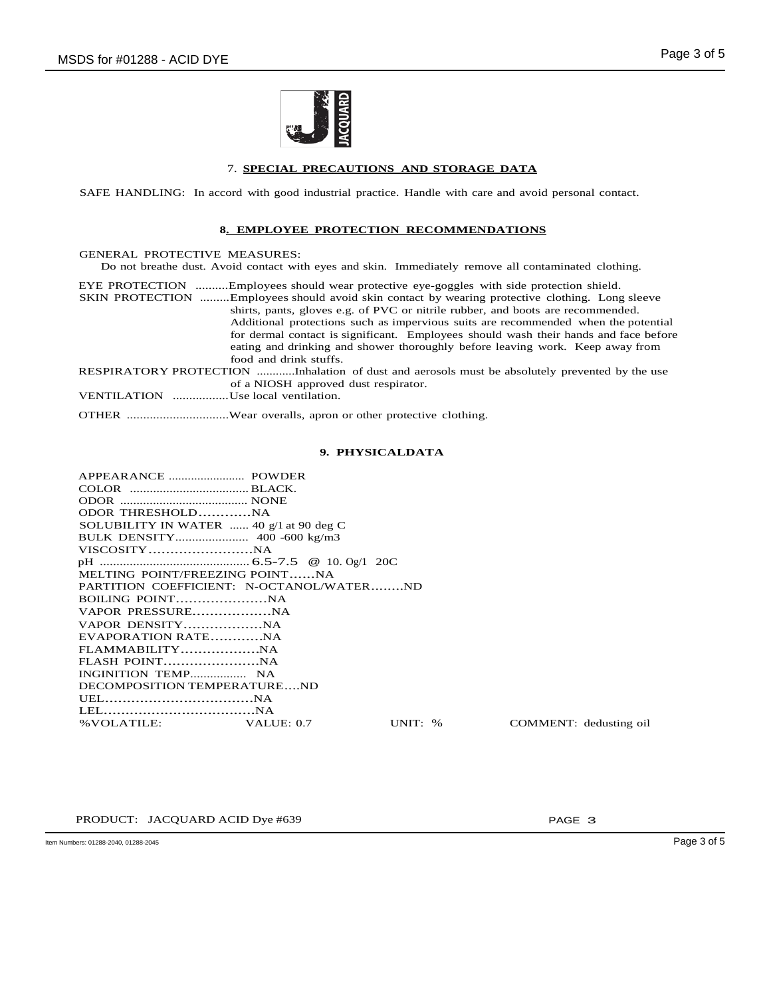

## 7. **SPECIAL PRECAUTIONS AND STORAGE DATA**

SAFE HANDLING: In accord with good industrial practice. Handle with care and avoid personal contact.

## **8. EMPLOYEE PROTECTION RECOMMENDATIONS**

| <b>GENERAL PROTECTIVE MEASURES:</b> |                                                                                                      |
|-------------------------------------|------------------------------------------------------------------------------------------------------|
|                                     | Do not breathe dust. Avoid contact with eyes and skin. Immediately remove all contaminated clothing. |
|                                     | EYE PROTECTION Employees should wear protective eye-goggles with side protection shield.             |
|                                     | SKIN PROTECTION Employees should avoid skin contact by wearing protective clothing. Long sleeve      |
|                                     | shirts, pants, gloves e.g. of PVC or nitrile rubber, and boots are recommended.                      |
|                                     | Additional protections such as impervious suits are recommended when the potential                   |
|                                     | for dermal contact is significant. Employees should wash their hands and face before                 |
|                                     | eating and drinking and shower thoroughly before leaving work. Keep away from                        |
|                                     | food and drink stuffs.                                                                               |
|                                     | RESPIRATORY PROTECTION Inhalation of dust and aerosols must be absolutely prevented by the use       |
|                                     | of a NIOSH approved dust respirator.                                                                 |
| VENTILATION Use local ventilation.  |                                                                                                      |
|                                     |                                                                                                      |

OTHER ...............................Wear overalls, apron or other protective clothing.

## **9. PHYSICALDATA**

| ODOR THRESHOLDNA                          |           |                        |
|-------------------------------------------|-----------|------------------------|
| SOLUBILITY IN WATER  40 $g/1$ at 90 deg C |           |                        |
|                                           |           |                        |
|                                           |           |                        |
|                                           |           |                        |
| MELTING POINT/FREEZING POINTNA            |           |                        |
| PARTITION COEFFICIENT: N-OCTANOL/WATERND  |           |                        |
|                                           |           |                        |
|                                           |           |                        |
|                                           |           |                        |
| EVAPORATION RATENA                        |           |                        |
|                                           |           |                        |
|                                           |           |                        |
|                                           |           |                        |
| DECOMPOSITION TEMPERATUREND               |           |                        |
|                                           |           |                        |
|                                           |           |                        |
| % VOLATILE: VALUE: 0.7                    | UNIT: $%$ | COMMENT: dedusting oil |
|                                           |           |                        |

PRODUCT: JACQUARD ACID Dye #639 PAGE 3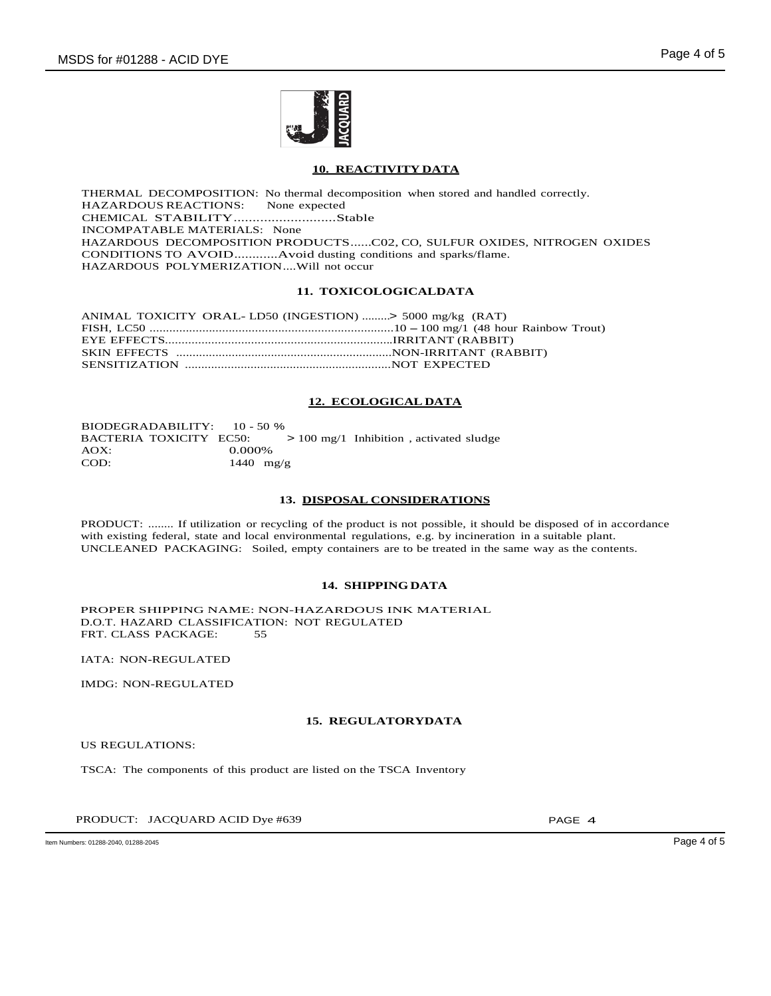

## **10. REACTIVITY DATA**

THERMAL DECOMPOSITION: No thermal decomposition when stored and handled correctly.<br>HAZARDOUS REACTIONS: None expected HAZARDOUS REACTIONS: CHEMICAL STABILITY...........................Stable INCOMPATABLE MATERIALS: None HAZARDOUS DECOMPOSITION PRODUCTS......C02, CO, SULFUR OXIDES, NITROGEN OXIDES CONDITIONS TO AVOID............Avoid dusting conditions and sparks/flame. HAZARDOUS POLYMERIZATION....Will not occur

## **11. TOXICOLOGICALDATA**

ANIMAL TOXICITY ORAL- LD50 (INGESTION) .........> 5000 mg/kg (RAT) FISH, LC50 ..........................................................................10 -100 mg/1 (48 hour Rainbow Trout) EYE EFFECTS.....................................................................IRRITANT (RABBIT) SKIN EFFECTS ..................................................................NON-IRRITANT (RABBIT) SENSITIZATION ...............................................................NOT EXPECTED

## **12. ECOLOGICAL DATA**

BIODEGRADABILITY: 10 - 50 % BACTERIA TOXICITY EC50: > 100 mg/1 Inhibition , activated sludge AOX: 0.000% 0.000% COD: 1440 mg/g

### **13. DISPOSAL CONSIDERATIONS**

PRODUCT: ........ If utilization or recycling of the product is not possible, it should be disposed of in accordance with existing federal, state and local environmental regulations, e.g. by incineration in a suitable plant. UNCLEANED PACKAGING: Soiled, empty containers are to be treated in the same way as the contents.

### **14. SHIPPINGDATA**

PROPER SHIPPING NAME: NON-HAZARDOUS INK MATERIAL D.O.T. HAZARD CLASSIFICATION: NOT REGULATED FRT. CLASS PACKAGE: 55

IATA: NON-REGULATED

IMDG: NON-REGULATED

### **15. REGULATORYDATA**

US REGULATIONS:

TSCA: The components of this product are listed on the TSCA Inventory

PRODUCT: JACQUARD ACID Dye #639 PAGE 4

Item Numbers: 01288-2040, 01288-2045 Page 4 of 5